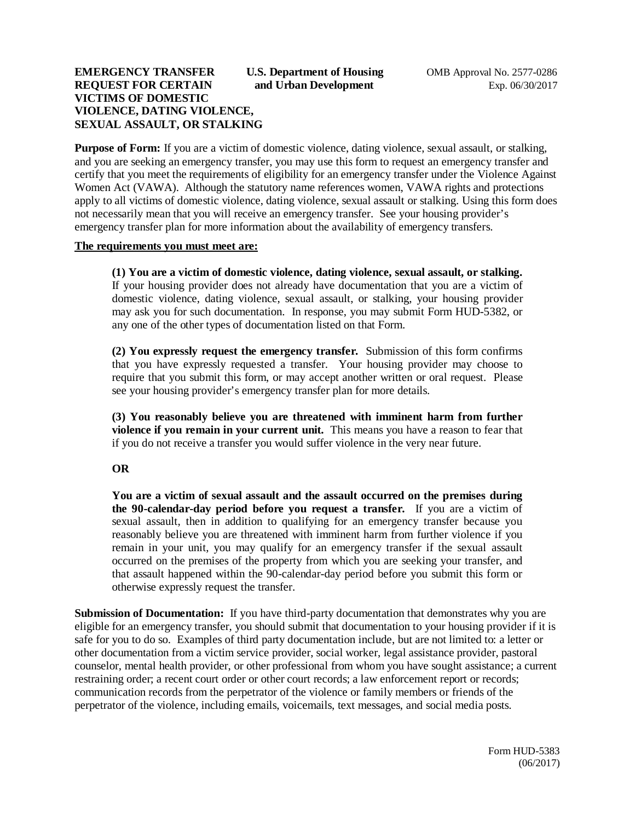## **EMERGENCY TRANSFER** U.S. Department of Housing OMB Approval No. 2577-0286 **REQUEST FOR CERTAIN** and Urban Development **EXP. 06/30/2017 VICTIMS OF DOMESTIC VIOLENCE, DATING VIOLENCE, SEXUAL ASSAULT, OR STALKING**

**Purpose of Form:** If you are a victim of domestic violence, dating violence, sexual assault, or stalking, and you are seeking an emergency transfer, you may use this form to request an emergency transfer and certify that you meet the requirements of eligibility for an emergency transfer under the Violence Against Women Act (VAWA). Although the statutory name references women, VAWA rights and protections apply to all victims of domestic violence, dating violence, sexual assault or stalking. Using this form does not necessarily mean that you will receive an emergency transfer. See your housing provider's emergency transfer plan for more information about the availability of emergency transfers.

#### **The requirements you must meet are:**

**(1) You are a victim of domestic violence, dating violence, sexual assault, or stalking.**  If your housing provider does not already have documentation that you are a victim of domestic violence, dating violence, sexual assault, or stalking, your housing provider may ask you for such documentation. In response, you may submit Form HUD-5382, or any one of the other types of documentation listed on that Form.

**(2) You expressly request the emergency transfer.** Submission of this form confirms that you have expressly requested a transfer. Your housing provider may choose to require that you submit this form, or may accept another written or oral request. Please see your housing provider's emergency transfer plan for more details.

**(3) You reasonably believe you are threatened with imminent harm from further violence if you remain in your current unit.** This means you have a reason to fear that if you do not receive a transfer you would suffer violence in the very near future.

### **OR**

**You are a victim of sexual assault and the assault occurred on the premises during the 90-calendar-day period before you request a transfer.** If you are a victim of sexual assault, then in addition to qualifying for an emergency transfer because you reasonably believe you are threatened with imminent harm from further violence if you remain in your unit, you may qualify for an emergency transfer if the sexual assault occurred on the premises of the property from which you are seeking your transfer, and that assault happened within the 90-calendar-day period before you submit this form or otherwise expressly request the transfer.

**Submission of Documentation:** If you have third-party documentation that demonstrates why you are eligible for an emergency transfer, you should submit that documentation to your housing provider if it is safe for you to do so. Examples of third party documentation include, but are not limited to: a letter or other documentation from a victim service provider, social worker, legal assistance provider, pastoral counselor, mental health provider, or other professional from whom you have sought assistance; a current restraining order; a recent court order or other court records; a law enforcement report or records; communication records from the perpetrator of the violence or family members or friends of the perpetrator of the violence, including emails, voicemails, text messages, and social media posts.